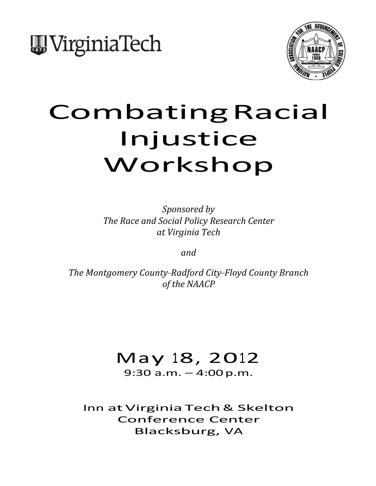



# CombatingRacial Injustice Workshop

*Sponsored by* **The Race and Social Policy Research Center** *at Virginia Tech*

*and*

*The Montgomery County-Radford City-Floyd County Branch* of the NAACP

## May 18, 2012

9:30 a.m. – 4:00p.m.

Inn atVirginiaTech& Skelton Conference Center Blacksburg, VA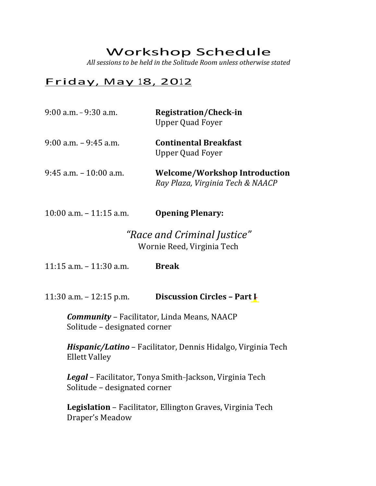### Workshop Schedule

All sessions to be held in the Solitude Room unless otherwise stated

#### Friday, May 18, 2012

| $9:00$ a.m. $-9:30$ a.m.   | Registration/Check-in<br><b>Upper Quad Foyer</b>                         |
|----------------------------|--------------------------------------------------------------------------|
| $9:00$ a.m. $-9:45$ a.m.   | <b>Continental Breakfast</b><br><b>Upper Quad Foyer</b>                  |
| $9:45$ a.m. $-10:00$ a.m.  | <b>Welcome/Workshop Introduction</b><br>Ray Plaza, Virginia Tech & NAACP |
| $10:00$ a.m. $-11:15$ a.m. | <b>Opening Plenary:</b>                                                  |

#### *"Race and Criminal Justice"* Wornie Reed, Virginia Tech

11:15 a.m. – 11:30 a.m. **Break**

11:30 a.m. – 12:15 p.m. **Discussion Circles – Part I**

*Community* – Facilitator, Linda Means, NAACP Solitude - designated corner

*Hispanic/Latino* - Facilitator, Dennis Hidalgo, Virginia Tech **Ellett Valley** 

Legal - Facilitator, Tonya Smith-Jackson, Virginia Tech Solitude - designated corner

Legislation - Facilitator, Ellington Graves, Virginia Tech Draper's Meadow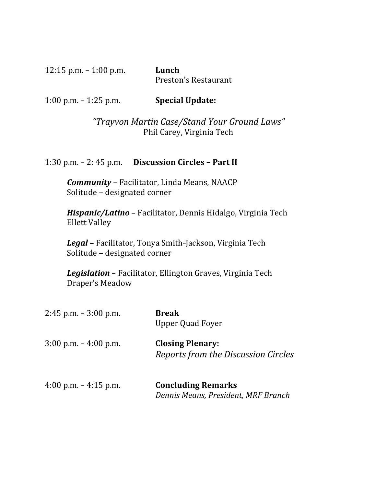12:15 p.m. – 1:00 p.m. **Lunch**

Preston's Restaurant

1:00 p.m. – 1:25 p.m. **Special Update:**

*"Trayvon Martin Case/Stand Your Ground Laws"* Phil Carey, Virginia Tech

1:30 p.m. – 2: 45 p.m. **Discussion Circles – Part II**

**Community** - Facilitator, Linda Means, NAACP Solitude - designated corner

*Hispanic/Latino* – Facilitator, Dennis Hidalgo, Virginia Tech **Ellett Valley** 

Legal - Facilitator, Tonya Smith-Jackson, Virginia Tech Solitude - designated corner

Legislation - Facilitator, Ellington Graves, Virginia Tech Draper's Meadow

| $2:45$ p.m. $-3:00$ p.m.                | <b>Break</b><br><b>Upper Quad Foyer</b>                          |
|-----------------------------------------|------------------------------------------------------------------|
| $3:00 \text{ p.m.} - 4:00 \text{ p.m.}$ | <b>Closing Plenary:</b><br>Reports from the Discussion Circles   |
| 4:00 p.m. $-$ 4:15 p.m.                 | <b>Concluding Remarks</b><br>Dennis Means, President, MRF Branch |